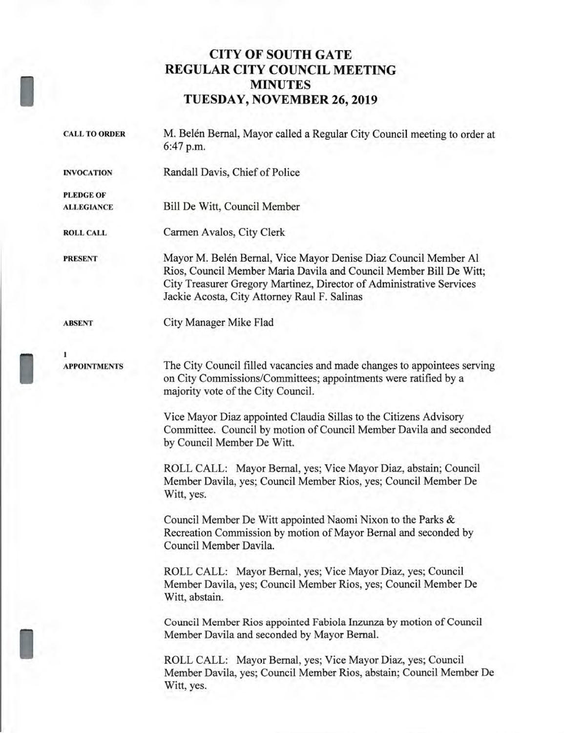## **CITY OF SOUTH GATE REGULAR CITY COUNCIL MEETING MINUTES TUESDAY, NOVEMBER 26, 2019**

| <b>CALL TO ORDER</b> | M. Belén Bernal, Mayor called a Regular City Council meeting to order at<br>6:47 p.m.                                                                                                                                                                         |  |  |
|----------------------|---------------------------------------------------------------------------------------------------------------------------------------------------------------------------------------------------------------------------------------------------------------|--|--|
| <b>INVOCATION</b>    | Randall Davis, Chief of Police                                                                                                                                                                                                                                |  |  |
| <b>PLEDGE OF</b>     |                                                                                                                                                                                                                                                               |  |  |
| <b>ALLEGIANCE</b>    | Bill De Witt, Council Member                                                                                                                                                                                                                                  |  |  |
| <b>ROLL CALL</b>     | Carmen Avalos, City Clerk                                                                                                                                                                                                                                     |  |  |
| <b>PRESENT</b>       | Mayor M. Belén Bernal, Vice Mayor Denise Diaz Council Member Al<br>Rios, Council Member Maria Davila and Council Member Bill De Witt;<br>City Treasurer Gregory Martinez, Director of Administrative Services<br>Jackie Acosta, City Attorney Raul F. Salinas |  |  |
| <b>ABSENT</b>        | City Manager Mike Flad                                                                                                                                                                                                                                        |  |  |
| 1                    |                                                                                                                                                                                                                                                               |  |  |
| <b>APPOINTMENTS</b>  | The City Council filled vacancies and made changes to appointees serving<br>on City Commissions/Committees; appointments were ratified by a<br>majority vote of the City Council.                                                                             |  |  |
|                      | Vice Mayor Diaz appointed Claudia Sillas to the Citizens Advisory<br>Committee. Council by motion of Council Member Davila and seconded<br>by Council Member De Witt.                                                                                         |  |  |
|                      | ROLL CALL: Mayor Bernal, yes; Vice Mayor Diaz, abstain; Council<br>Member Davila, yes; Council Member Rios, yes; Council Member De<br>Witt, yes.                                                                                                              |  |  |
|                      | Council Member De Witt appointed Naomi Nixon to the Parks &<br>Recreation Commission by motion of Mayor Bernal and seconded by<br>Council Member Davila.                                                                                                      |  |  |
|                      | ROLL CALL: Mayor Bernal, yes; Vice Mayor Diaz, yes; Council<br>Member Davila, yes; Council Member Rios, yes; Council Member De<br>Witt, abstain.                                                                                                              |  |  |
|                      | Council Member Rios appointed Fabiola Inzunza by motion of Council<br>Member Davila and seconded by Mayor Bernal.                                                                                                                                             |  |  |
|                      | ROLL CALL: Mayor Bernal, yes; Vice Mayor Diaz, yes; Council<br>Member Davila, yes; Council Member Rios, abstain; Council Member De<br>Witt, yes.                                                                                                              |  |  |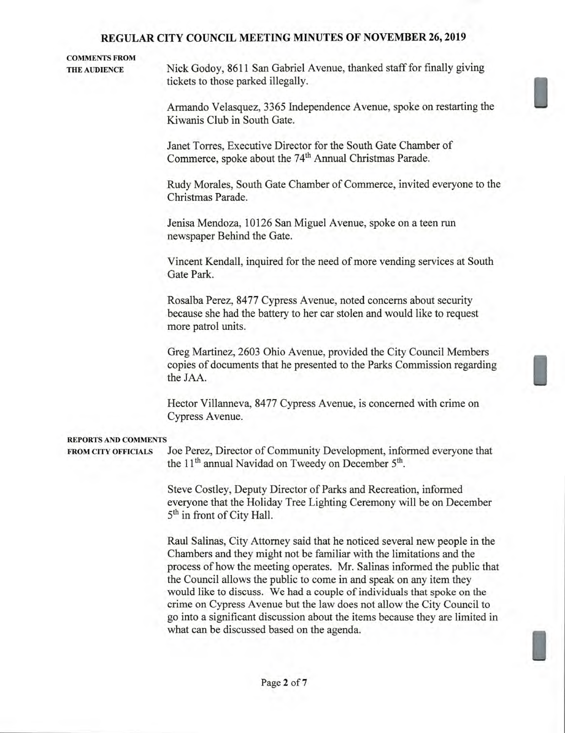# **COMMENTS FROM**

**THE AUDIENCE** Nick Godoy, 8611 San Gabriel Avenue, thanked staff for finally giving tickets to those parked illegally.

> Armando Velasquez, 3365 Independence Avenue, spoke on restarting the Kiwanis Club in South Gate.

Janet Torres, Executive Director for the South Gate Chamber of Commerce, spoke about the 74<sup>th</sup> Annual Christmas Parade.

Rudy Morales, South Gate Chamber of Commerce, invited everyone to the Christmas Parade.

Jenisa Mendoza, 10126 San Miguel Avenue, spoke on a teen run newspaper Behind the Gate.

Vincent Kendall, inquired for the need of more vending services at South Gate Park.

Rosalba Perez, 8477 Cypress Avenue, noted concerns about security because she had the battery to her car stolen and would like to request more patrol units.

Greg Martinez, 2603 Ohio Avenue, provided the City Council Members copies of documents that he presented to the Parks Commission regarding the JAA.

Hector Villanneva, 8477 Cypress Avenue, is concerned with crime on Cypress Avenue.

#### **REPORTS AND COMMENTS**

**FROM CITY OFFICIALS** Joe Perez, Director of Community Development, informed everyone that the 11**th** annual Navidad on Tweedy on December **5th.** 

> Steve Costley, Deputy Director of Parks and Recreation, informed everyone that the Holiday Tree Lighting Ceremony will be on December **5th** in front of City Hall.

Raul Salinas, City Attorney said that he noticed several new people in the Chambers and they might not be familiar with the limitations and the process of how the meeting operates. Mr. Salinas informed the public that the Council allows the public to come in and speak on any item they would like to discuss. We had a couple of individuals that spoke on the crime on Cypress Avenue but the law does not allow the City Council to go into a significant discussion about the items because they are limited in what can be discussed based on the agenda.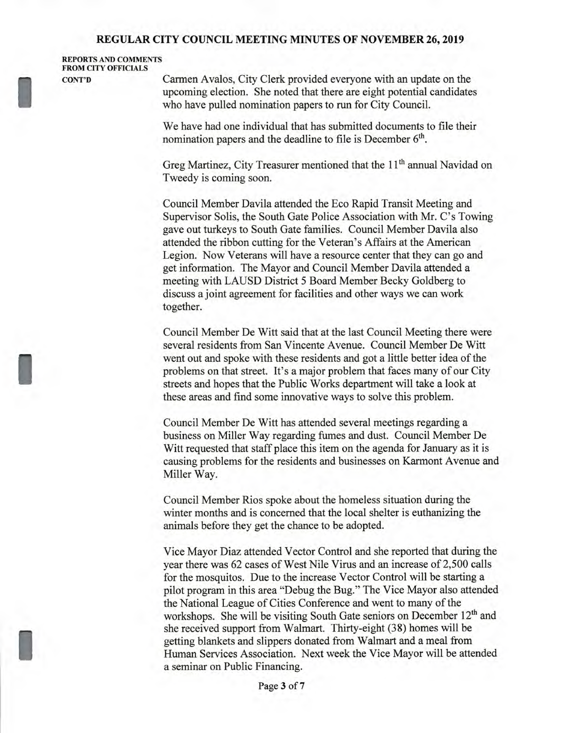**REPORTS AND COMMENTS FROM CITY OFFICIALS** 

I

**CONT'D Carmen Avalos, City Clerk provided everyone with an update on the** upcoming election. She noted that there are eight potential candidates who have pulled nomination papers to run for City Council.

> We have had one individual that has submitted documents to file their nomination papers and the deadline to file is December **6th.**

Greg Martinez, City Treasurer mentioned that the 11<sup>th</sup> annual Navidad on Tweedy is coming soon.

Council Member Davila attended the Eco Rapid Transit Meeting and Supervisor Solis, the South Gate Police Association with Mr. C's Towing gave out turkeys to South Gate families. Council Member Davila also attended the ribbon cutting for the Veteran's Affairs at the American Legion. Now Veterans will have a resource center that they can go and get information. The Mayor and Council Member Davila attended a meeting with LAUSD District 5 Board Member Becky Goldberg to discuss a joint agreement for facilities and other ways we can work together.

Council Member De Witt said that at the last Council Meeting there were several residents from San Vincente Avenue. Council Member De Witt went out and spoke with these residents and got a little better idea of the problems on that street. It's a major problem that faces many of our City streets and hopes that the Public Works department will take a look at these areas and find some innovative ways to solve this problem.

Council Member De Witt has attended several meetings regarding a business on Miller Way regarding fumes and dust. Council Member De Witt requested that staff place this item on the agenda for January as it is causing problems for the residents and businesses on Karmont Avenue and Miller Way.

Council Member Rios spoke about the homeless situation during the winter months and is concerned that the local shelter is euthanizing the animals before they get the chance to be adopted.

Vice Mayor Diaz attended Vector Control and she reported that during the year there was 62 cases of West Nile Virus and an increase of 2,500 calls for the mosquitos. Due to the increase Vector Control will be starting a pilot program in this area "Debug the Bug." The Vice Mayor also attended the National League of Cities Conference and went to many of the workshops. She will be visiting South Gate seniors on December 12<sup>th</sup> and she received support from Walmart. Thirty-eight (38) homes will be getting blankets and slippers donated from Walmart and a meal from Human Services Association. Next week the Vice Mayor will be attended a seminar on Public Financing.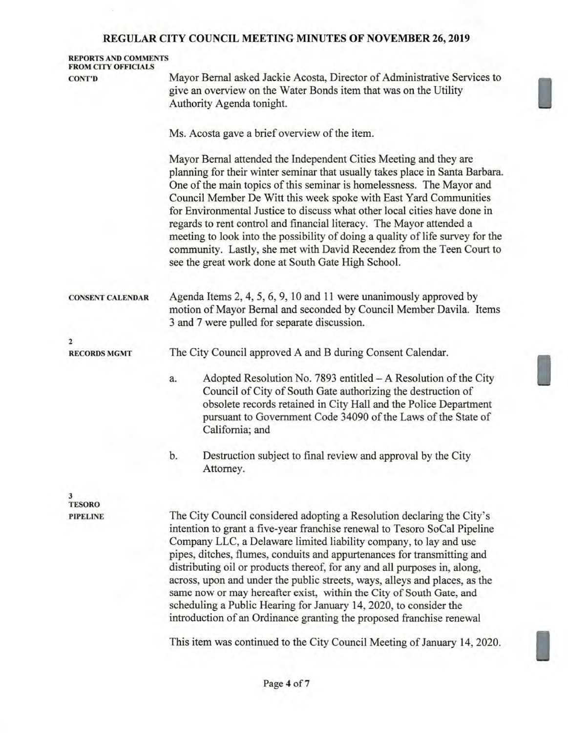|                                                    | REGULAR CITY COUNCIL MEETING MINUTES OF NOVEMBER 20, 2019                                                                                                                                                                                                                                                                                                                                                                                                                                                                                                                                                                                                             |  |  |  |
|----------------------------------------------------|-----------------------------------------------------------------------------------------------------------------------------------------------------------------------------------------------------------------------------------------------------------------------------------------------------------------------------------------------------------------------------------------------------------------------------------------------------------------------------------------------------------------------------------------------------------------------------------------------------------------------------------------------------------------------|--|--|--|
| <b>REPORTS AND COMMENTS</b><br>FROM CITY OFFICIALS |                                                                                                                                                                                                                                                                                                                                                                                                                                                                                                                                                                                                                                                                       |  |  |  |
| <b>CONT'D</b>                                      | Mayor Bernal asked Jackie Acosta, Director of Administrative Services to<br>give an overview on the Water Bonds item that was on the Utility<br>Authority Agenda tonight.                                                                                                                                                                                                                                                                                                                                                                                                                                                                                             |  |  |  |
|                                                    | Ms. Acosta gave a brief overview of the item.                                                                                                                                                                                                                                                                                                                                                                                                                                                                                                                                                                                                                         |  |  |  |
|                                                    | Mayor Bernal attended the Independent Cities Meeting and they are<br>planning for their winter seminar that usually takes place in Santa Barbara.<br>One of the main topics of this seminar is homelessness. The Mayor and<br>Council Member De Witt this week spoke with East Yard Communities<br>for Environmental Justice to discuss what other local cities have done in<br>regards to rent control and financial literacy. The Mayor attended a<br>meeting to look into the possibility of doing a quality of life survey for the<br>community. Lastly, she met with David Recendez from the Teen Court to<br>see the great work done at South Gate High School. |  |  |  |
| <b>CONSENT CALENDAR</b>                            | Agenda Items 2, 4, 5, 6, 9, 10 and 11 were unanimously approved by<br>motion of Mayor Bernal and seconded by Council Member Davila. Items<br>3 and 7 were pulled for separate discussion.                                                                                                                                                                                                                                                                                                                                                                                                                                                                             |  |  |  |
| $\overline{\mathbf{2}}$                            |                                                                                                                                                                                                                                                                                                                                                                                                                                                                                                                                                                                                                                                                       |  |  |  |
| <b>RECORDS MGMT</b>                                | The City Council approved A and B during Consent Calendar.                                                                                                                                                                                                                                                                                                                                                                                                                                                                                                                                                                                                            |  |  |  |
|                                                    | Adopted Resolution No. 7893 entitled $-A$ Resolution of the City<br>a.<br>Council of City of South Gate authorizing the destruction of<br>obsolete records retained in City Hall and the Police Department<br>pursuant to Government Code 34090 of the Laws of the State of<br>California; and                                                                                                                                                                                                                                                                                                                                                                        |  |  |  |
|                                                    | b.<br>Destruction subject to final review and approval by the City<br>Attorney.                                                                                                                                                                                                                                                                                                                                                                                                                                                                                                                                                                                       |  |  |  |
| 3                                                  |                                                                                                                                                                                                                                                                                                                                                                                                                                                                                                                                                                                                                                                                       |  |  |  |
| <b>TESORO</b><br><b>PIPELINE</b>                   | The City Council considered adopting a Resolution declaring the City's<br>intention to grant a five-year franchise renewal to Tesoro SoCal Pipeline<br>Company LLC, a Delaware limited liability company, to lay and use<br>pipes, ditches, flumes, conduits and appurtenances for transmitting and<br>distributing oil or products thereof, for any and all purposes in, along,<br>across, upon and under the public streets, ways, alleys and places, as the<br>same now or may hereafter exist, within the City of South Gate, and                                                                                                                                 |  |  |  |

This item was continued to the City Council Meeting of January 14, 2020.

scheduling a Public Hearing for January 14, 2020, to consider the introduction of an Ordinance granting the proposed franchise renewal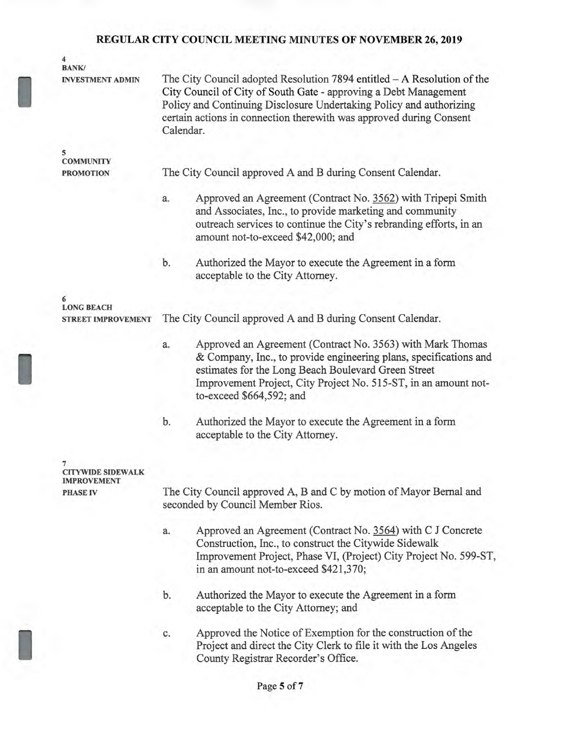| 4<br><b>BANK/</b>                     |                                                                                                                                                                                                                                                                                                        |                                                                                                                                                                                                                                                                                       |  |  |
|---------------------------------------|--------------------------------------------------------------------------------------------------------------------------------------------------------------------------------------------------------------------------------------------------------------------------------------------------------|---------------------------------------------------------------------------------------------------------------------------------------------------------------------------------------------------------------------------------------------------------------------------------------|--|--|
| <b>INVESTMENT ADMIN</b>               | The City Council adopted Resolution 7894 entitled - A Resolution of the<br>City Council of City of South Gate - approving a Debt Management<br>Policy and Continuing Disclosure Undertaking Policy and authorizing<br>certain actions in connection therewith was approved during Consent<br>Calendar. |                                                                                                                                                                                                                                                                                       |  |  |
| 5<br><b>COMMUNITY</b>                 |                                                                                                                                                                                                                                                                                                        |                                                                                                                                                                                                                                                                                       |  |  |
| <b>PROMOTION</b>                      |                                                                                                                                                                                                                                                                                                        | The City Council approved A and B during Consent Calendar.                                                                                                                                                                                                                            |  |  |
|                                       | a.                                                                                                                                                                                                                                                                                                     | Approved an Agreement (Contract No. 3562) with Tripepi Smith<br>and Associates, Inc., to provide marketing and community<br>outreach services to continue the City's rebranding efforts, in an<br>amount not-to-exceed \$42,000; and                                                  |  |  |
|                                       | b.                                                                                                                                                                                                                                                                                                     | Authorized the Mayor to execute the Agreement in a form<br>acceptable to the City Attorney.                                                                                                                                                                                           |  |  |
| 6<br><b>LONG BEACH</b>                |                                                                                                                                                                                                                                                                                                        |                                                                                                                                                                                                                                                                                       |  |  |
| <b>STREET IMPROVEMENT</b>             | The City Council approved A and B during Consent Calendar.                                                                                                                                                                                                                                             |                                                                                                                                                                                                                                                                                       |  |  |
|                                       | a.                                                                                                                                                                                                                                                                                                     | Approved an Agreement (Contract No. 3563) with Mark Thomas<br>& Company, Inc., to provide engineering plans, specifications and<br>estimates for the Long Beach Boulevard Green Street<br>Improvement Project, City Project No. 515-ST, in an amount not-<br>to-exceed \$664,592; and |  |  |
|                                       | b.                                                                                                                                                                                                                                                                                                     | Authorized the Mayor to execute the Agreement in a form<br>acceptable to the City Attorney.                                                                                                                                                                                           |  |  |
| <b>CITYWIDE SIDEWALK</b>              |                                                                                                                                                                                                                                                                                                        |                                                                                                                                                                                                                                                                                       |  |  |
| <b>IMPROVEMENT</b><br><b>PHASE IV</b> | The City Council approved A, B and C by motion of Mayor Bernal and                                                                                                                                                                                                                                     |                                                                                                                                                                                                                                                                                       |  |  |

seconded by Council Member Rios.

- a. Approved an Agreement (Contract No. 3564) with C J Concrete Construction, Inc., to construct the Citywide Sidewalk Improvement Project, Phase VI, (Project) City Project No. 599-ST, in an amount not-to-exceed \$421,370;
- b. Authorized the Mayor to execute the Agreement in a form acceptable to the City Attorney; and
- c. Approved the Notice of Exemption for the construction of the Project and direct the City Clerk to file it with the Los Angeles County Registrar Recorder's Office.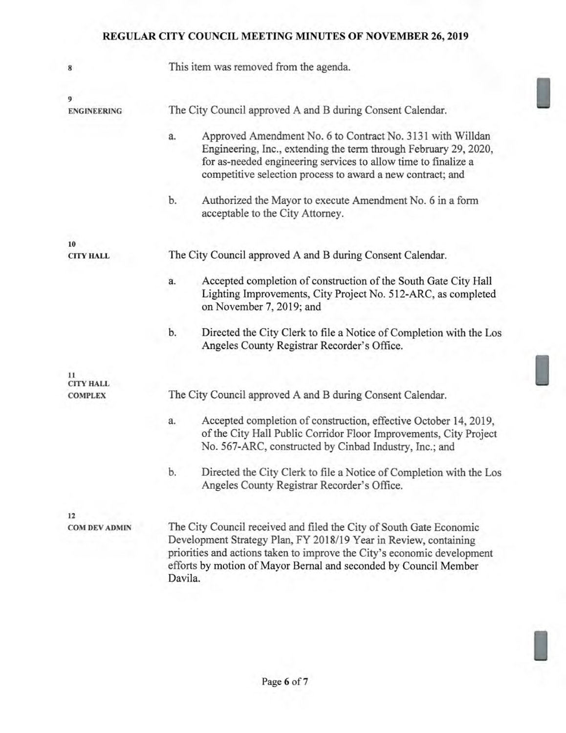| 8                                  | This item was removed from the agenda.                                                                                                                                                                                                                                                            |  |  |  |  |
|------------------------------------|---------------------------------------------------------------------------------------------------------------------------------------------------------------------------------------------------------------------------------------------------------------------------------------------------|--|--|--|--|
| 9                                  |                                                                                                                                                                                                                                                                                                   |  |  |  |  |
| <b>ENGINEERING</b>                 | The City Council approved A and B during Consent Calendar.                                                                                                                                                                                                                                        |  |  |  |  |
|                                    | Approved Amendment No. 6 to Contract No. 3131 with Willdan<br>a.<br>Engineering, Inc., extending the term through February 29, 2020,<br>for as-needed engineering services to allow time to finalize a<br>competitive selection process to award a new contract; and                              |  |  |  |  |
|                                    | b.<br>Authorized the Mayor to execute Amendment No. 6 in a form<br>acceptable to the City Attorney.                                                                                                                                                                                               |  |  |  |  |
| 10                                 |                                                                                                                                                                                                                                                                                                   |  |  |  |  |
| <b>CITY HALL</b>                   | The City Council approved A and B during Consent Calendar.                                                                                                                                                                                                                                        |  |  |  |  |
|                                    | Accepted completion of construction of the South Gate City Hall<br>a.<br>Lighting Improvements, City Project No. 512-ARC, as completed<br>on November 7, 2019; and                                                                                                                                |  |  |  |  |
|                                    | b.<br>Directed the City Clerk to file a Notice of Completion with the Los<br>Angeles County Registrar Recorder's Office.                                                                                                                                                                          |  |  |  |  |
| 11                                 |                                                                                                                                                                                                                                                                                                   |  |  |  |  |
| <b>CITY HALL</b><br><b>COMPLEX</b> | The City Council approved A and B during Consent Calendar.                                                                                                                                                                                                                                        |  |  |  |  |
|                                    | Accepted completion of construction, effective October 14, 2019,<br>a.<br>of the City Hall Public Corridor Floor Improvements, City Project<br>No. 567-ARC, constructed by Cinbad Industry, Inc.; and                                                                                             |  |  |  |  |
|                                    | b.<br>Directed the City Clerk to file a Notice of Completion with the Los<br>Angeles County Registrar Recorder's Office.                                                                                                                                                                          |  |  |  |  |
| 12                                 |                                                                                                                                                                                                                                                                                                   |  |  |  |  |
| <b>COM DEV ADMIN</b>               | The City Council received and filed the City of South Gate Economic<br>Development Strategy Plan, FY 2018/19 Year in Review, containing<br>priorities and actions taken to improve the City's economic development<br>efforts by motion of Mayor Bernal and seconded by Council Member<br>Davila. |  |  |  |  |